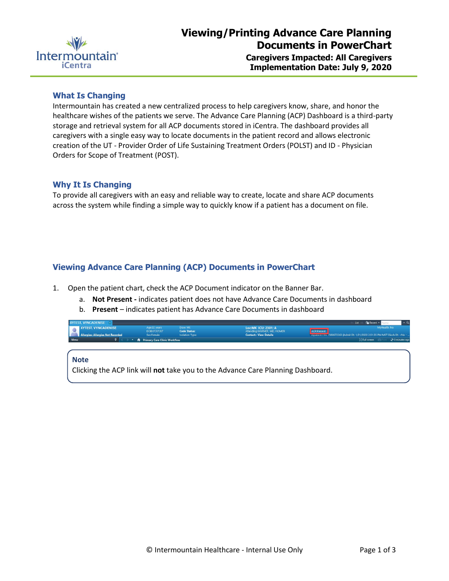

### **What Is Changing**

Intermountain has created a new centralized process to help caregivers know, share, and honor the healthcare wishes of the patients we serve. The Advance Care Planning (ACP) Dashboard is a third-party storage and retrieval system for all ACP documents stored in iCentra. The dashboard provides all caregivers with a single easy way to locate documents in the patient record and allows electronic creation of the UT - Provider Order of Life Sustaining Treatment Orders (POLST) and ID - Physician Orders for Scope of Treatment (POST).

## **Why It Is Changing**

To provide all caregivers with an easy and reliable way to create, locate and share ACP documents across the system while finding a simple way to quickly know if a patient has a document on file.

# **Viewing Advance Care Planning (ACP) Documents in PowerChart**

- 1. Open the patient chart, check the ACP Document indicator on the Banner Bar.
	- a. **Not Present -** indicates patient does not have Advance Care Documents in dashboard
	- b. **Present**  indicates patient has Advance Care Documents in dashboard

| <b>XYTEST, VYNCADENISE XI</b><br><b>Ga</b> Recent <b>v</b><br>List |             |                                          |                                     |                                 |                                                    |                                                                                                                              |                 |              |                      |
|--------------------------------------------------------------------|-------------|------------------------------------------|-------------------------------------|---------------------------------|----------------------------------------------------|------------------------------------------------------------------------------------------------------------------------------|-----------------|--------------|----------------------|
|                                                                    |             | <b>XYTEST. VYNCADENISE</b>               | Age:32 years<br>DOB:07/07/87        | Dose Wt:<br><b>Code Status:</b> | Loc:MK ICU: 2301: A<br>Attending:WARNER, MD, HOMER |                                                                                                                              |                 | MyHealth: No |                      |
|                                                                    |             | <b>Allergies: Allergies Not Recorded</b> | Sex:Female                          | <b>Isolation Type:</b>          | <b>Contact:: View Details</b>                      | inpatient FIN: 7380672263 [Admit Dt: 1/21/2020 2:51:35 PM MST Disch Dt: <no -="" <="" th=""><th></th><th></th><th></th></no> |                 |              |                      |
|                                                                    | <b>Menu</b> |                                          | <b>Primary Care Clinic Workflow</b> |                                 |                                                    |                                                                                                                              | [C] Full screen |              | $\geq 0$ minutes ago |

#### **Note**

Clicking the ACP link will **not** take you to the Advance Care Planning Dashboard.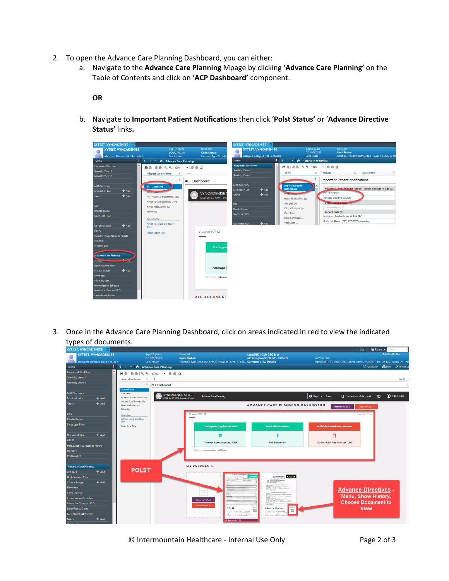- 2. To open the Advance Care Planning Dashboard, you can either:
	- a. Navigate to the **Advance Care Planning** Mpage by clicking '**Advance Care Planning'** on the Table of Contents and click on '**ACP Dashboard'** component.

**OR**

b. Navigate to **Important Patient Notifications** then click '**Polst Status'** or '**Advance Directive Status'** links**.**



3. Once in the Advance Care Planning Dashboard, click on areas indicated in red to view the indicated types of documents.



© Intermountain Healthcare - Internal Use Only Page 2 of 3